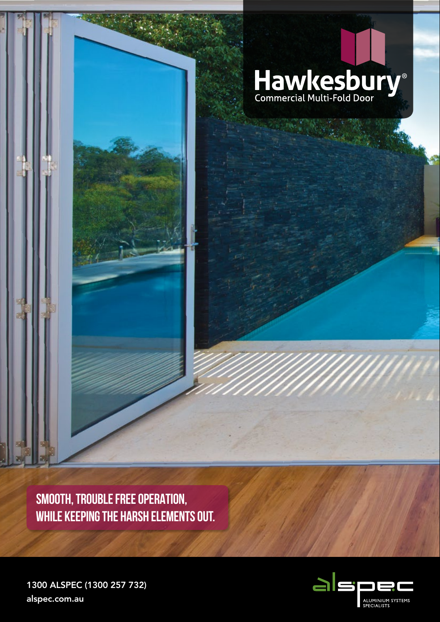

SMOOTH, TROUBLE FREE OPERATION, **WHILE KEEPING THE HARSH ELEMENTS OUT.** 



1300 ALSPEC (1300 257 732) alspec.com.au